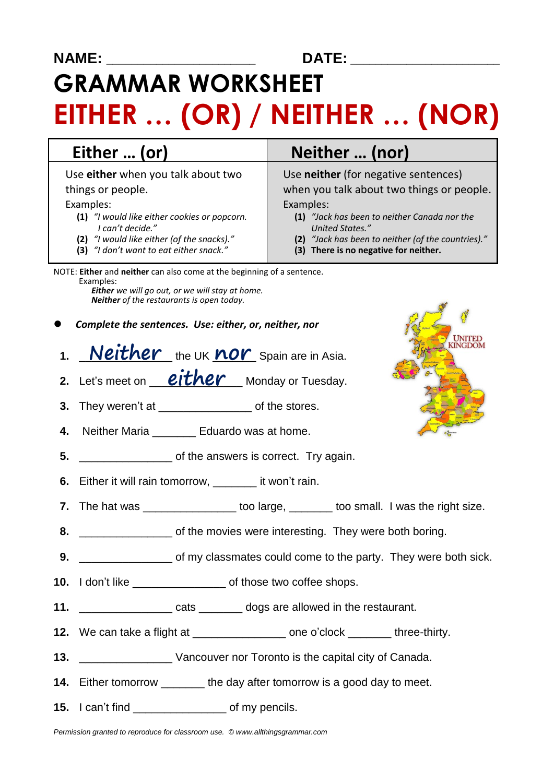**NAME: \_\_\_\_\_\_\_\_\_\_\_\_\_\_\_\_\_\_\_\_\_\_\_\_ DATE: \_\_\_\_\_\_\_\_\_\_\_\_\_\_\_\_\_\_\_\_\_\_\_\_**

# **GRAMMAR WORKSHEET EITHER … (OR) / NEITHER … (NOR)**

Use **either** when you talk about two things or people.

#### Examples:

- **(1)** *"I would like either cookies or popcorn. I can't decide."*
- **(2)** *"I would like either (of the snacks)."*
- **(3)** *"I don't want to eat either snack."*

## **Either … (or) Neither … (nor)**

Use **neither** (for negative sentences) when you talk about two things or people.

#### Examples:

- **(1)** *"Jack has been to neither Canada nor the United States."*
- **(2)** *"Jack has been to neither (of the countries)."*
- **(3) There is no negative for neither.**

NOTE: **Either** and **neither** can also come at the beginning of a sentence. Examples:  *Either we will go out, or we will stay at home.*

 *Neither of the restaurants is open today.*

- *Complete the sentences. Use: either, or, neither, nor*
- 1. Neither the UK nor Spain are in Asia.
- **2.** Let's meet on **either** Monday or Tuesday.
- **3.** They weren't at **a b** of the stores.
- **4.** Neither Maria \_\_\_\_\_\_\_ Eduardo was at home.
- **5.** \_\_\_\_\_\_\_\_\_\_\_\_\_\_\_ of the answers is correct. Try again.
- **6.** Either it will rain tomorrow, \_\_\_\_\_\_\_ it won't rain.
- **7.** The hat was \_\_\_\_\_\_\_\_\_\_\_\_\_\_\_\_\_\_ too large, \_\_\_\_\_\_\_\_ too small. I was the right size.
- **8. b** \_\_\_\_\_\_\_\_\_\_\_\_\_\_\_\_\_ of the movies were interesting. They were both boring.
- **9.** \_\_\_\_\_\_\_\_\_\_\_\_\_\_\_ of my classmates could come to the party. They were both sick.
- **10.** I don't like \_\_\_\_\_\_\_\_\_\_\_\_\_\_\_ of those two coffee shops.
- **11. 11. 11. 11. 11. 11. 11. 11. 11. 11. 11. 11. 11. 11. 11. 11. 11. 11. 11. 11. 11. 11. 11. 11. 11. 11. 11. 11. 11. 11. 11. 11. 11. 11. 11. 11. 11.**
- **12.** We can take a flight at \_\_\_\_\_\_\_\_\_\_\_\_\_\_\_ one o'clock \_\_\_\_\_\_\_ three-thirty.
- **13. 13. 13. 13. 13. 13. 13. 15. 16. 16. 16. 16. 16. 16. 16. 16. 16. 16. 16. 16. 16. 16. 16. 16. 16. 16. 16. 16. 16. 16. 16. 16. 16. 16. 16. 16. 16.**
- **14.** Either tomorrow \_\_\_\_\_\_\_\_ the day after tomorrow is a good day to meet.
- **15.** I can't find \_\_\_\_\_\_\_\_\_\_\_\_\_\_\_ of my pencils.

*Permission granted to reproduce for classroom use. © www.allthingsgrammar.com*